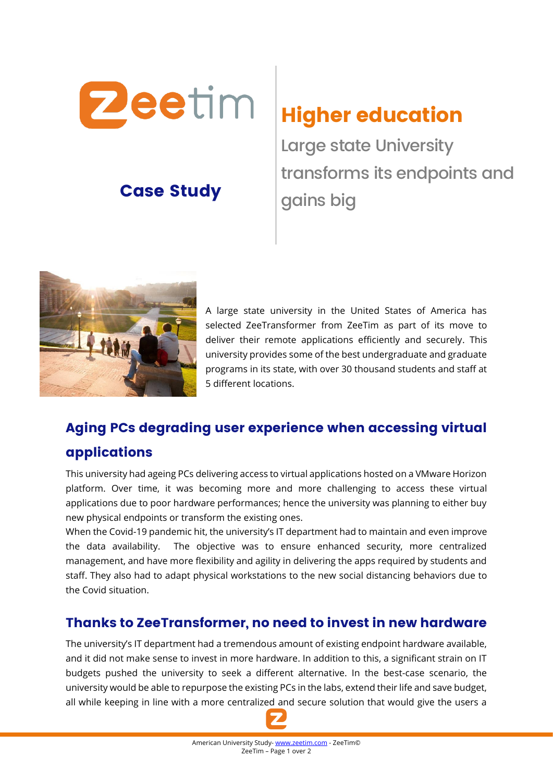

# Case Study

Higher education

Large state University transforms its endpoints and gains big



A large state university in the United States of America has selected ZeeTransformer from ZeeTim as part of its move to deliver their remote applications efficiently and securely. This university provides some of the best undergraduate and graduate programs in its state, with over 30 thousand students and staff at 5 different locations.

## Aging PCs degrading user experience when accessing virtual

#### applications

This university had ageing PCs delivering access to virtual applications hosted on a VMware Horizon platform. Over time, it was becoming more and more challenging to access these virtual applications due to poor hardware performances; hence the university was planning to either buy new physical endpoints or transform the existing ones.

When the Covid-19 pandemic hit, the university's IT department had to maintain and even improve the data availability. The objective was to ensure enhanced security, more centralized management, and have more flexibility and agility in delivering the apps required by students and staff. They also had to adapt physical workstations to the new social distancing behaviors due to the Covid situation.

#### Thanks to ZeeTransformer, no need to invest in new hardware

The university's IT department had a tremendous amount of existing endpoint hardware available, and it did not make sense to invest in more hardware. In addition to this, a significant strain on IT budgets pushed the university to seek a different alternative. In the best-case scenario, the university would be able to repurpose the existing PCs in the labs, extend their life and save budget, all while keeping in line with a more centralized and secure solution that would give the users a